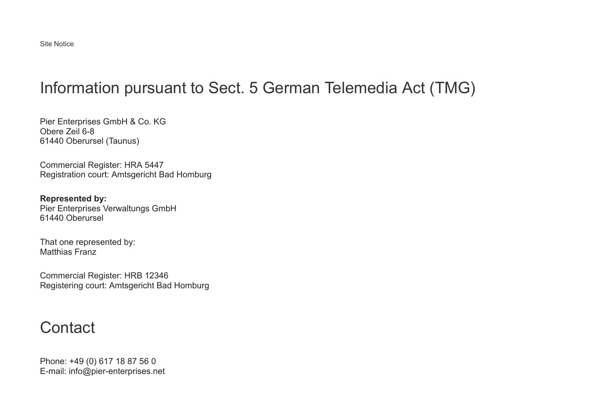## Information pursuant to Sect. 5 German Telemedia Act (TMG)

Pier Enterprises GmbH & Co. KG Obere Zeil 6-8 61440 Oberursel (Taunus)

Commercial Register: HRA 5447 Registration court: Amtsgericht Bad Homburg

**Represented by:** Pier Enterprises Verwaltungs GmbH 61440 Oberursel

That one represented by: Matthias Franz

Commercial Register: HRB 12346 Registering court: Amtsgericht Bad Homburg

### **Contact**

Phone: +49 (0) 617 18 87 56 0 E-mail: info@pier-enterprises.net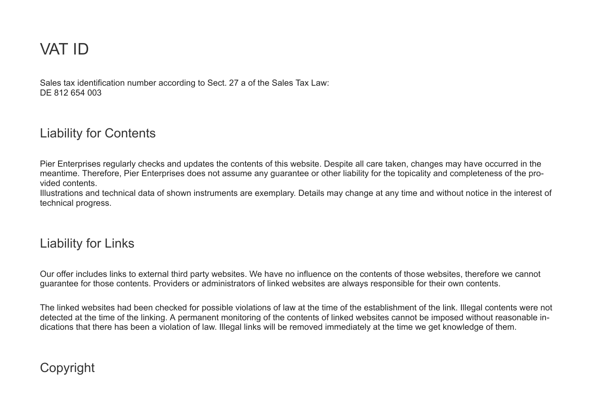# VAT ID

Sales tax identification number according to Sect. 27 a of the Sales Tax Law: DE 812 654 003

#### Liability for Contents

Pier Enterprises regularly checks and updates the contents of this website. Despite all care taken, changes may have occurred in the meantime. Therefore, Pier Enterprises does not assume any guarantee or other liability for the topicality and completeness of the provided contents.

Illustrations and technical data of shown instruments are exemplary. Details may change at any time and without notice in the interest of technical progress.

#### Liability for Links

Our offer includes links to external third party websites. We have no influence on the contents of those websites, therefore we cannot guarantee for those contents. Providers or administrators of linked websites are always responsible for their own contents.

The linked websites had been checked for possible violations of law at the time of the establishment of the link. Illegal contents were not detected at the time of the linking. A permanent monitoring of the contents of linked websites cannot be imposed without reasonable indications that there has been a violation of law. Illegal links will be removed immediately at the time we get knowledge of them.

### Copyright